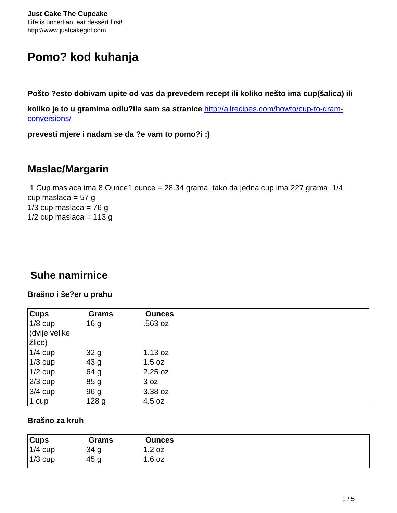# **Pomo? kod kuhanja**

**Pošto ?esto dobivam upite od vas da prevedem recept ili koliko nešto ima cup(šalica) ili**

**koliko je to u gramima odlu?ila sam sa stranice** [http://allrecipes.com/howto/cup-to-gram](http://allrecipes.com/howto/cup-to-gram-conversions/)[conversions/](http://allrecipes.com/howto/cup-to-gram-conversions/)

**prevesti mjere i nadam se da ?e vam to pomo?i :)**

# **Maslac/Margarin**

 1 Cup maslaca ima 8 Ounce1 ounce = 28.34 grama, tako da jedna cup ima 227 grama .1/4 cup maslaca =  $57 g$  $1/3$  cup maslaca = 76 g  $1/2$  cup maslaca = 113 g

# **Suhe namirnice**

#### **Brašno i še?er u prahu**

| $\overline{\overline{\mathrm{Cups}}}$ | Grams           | <b>Ounces</b> |
|---------------------------------------|-----------------|---------------|
| $1/8$ cup                             | 16 <sub>g</sub> | .563 oz       |
| (dvije velike                         |                 |               |
| $\vert$ žlice)                        |                 |               |
| $1/4$ cup                             | 32g             | 1.13 oz       |
| $1/3$ cup                             | 43 <sub>g</sub> | 1.5 oz        |
| $1/2$ cup                             | 64 g            | 2.25 oz       |
| $2/3$ cup                             | 85 <sub>g</sub> | 3 oz          |
| $3/4$ cup                             | 96 <sub>g</sub> | 3.38 oz       |
| $ 1$ cup                              | 128 g           | 4.5 oz        |

#### **Brašno za kruh**

| <b>Cups</b> | Grams | <b>Ounces</b> |
|-------------|-------|---------------|
| $1/4$ cup   | 34 g  | 1.2 oz        |
| $1/3$ cup   | 45 g  | 1.6 oz        |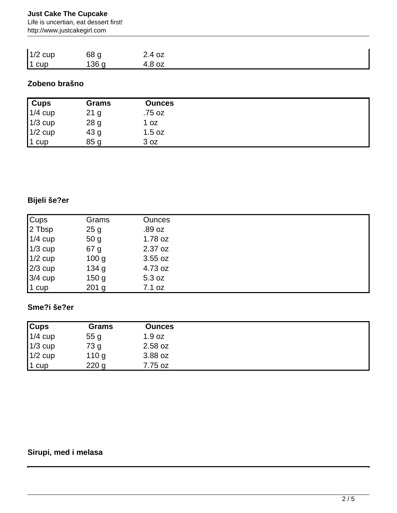#### **Just Cake The Cupcake**

Life is uncertian, eat dessert first! http://www.justcakegirl.com

| $1/2$ cup | 68 g  | 2.4 oz |  |
|-----------|-------|--------|--|
| $1$ cup   | 136 g | 4.8 oz |  |

### **Zobeno brašno**

| Cups      | <b>Grams</b>    | <b>Ounces</b> |
|-----------|-----------------|---------------|
| $1/4$ cup | 21 <sub>g</sub> | .75 oz        |
| $1/3$ cup | 28 g            | 1 oz          |
| $1/2$ cup | 43 g            | 1.5 oz        |
| $1$ cup   | 85 <sub>g</sub> | 3 oz          |

## **Bijeli še?er**

| <b>Cups</b> | Grams            | <b>Ounces</b> |
|-------------|------------------|---------------|
| 2 Tbsp      | 25g              | .89 oz        |
| $1/4$ cup   | 50 <sub>g</sub>  | 1.78 oz       |
| $1/3$ cup   | 67 g             | 2.37 oz       |
| $1/2$ cup   | 100 <sub>g</sub> | 3.55 oz       |
| $2/3$ cup   | 134 <sub>g</sub> | 4.73 oz       |
| $3/4$ cup   | 150 <sub>g</sub> | 5.3 oz        |
| 1 cup       | $201$ g          | 7.1 oz        |

### **Sme?i še?er**

| <b>Cups</b> | <b>Grams</b>     | <b>Ounces</b> |  |
|-------------|------------------|---------------|--|
| $1/4$ cup   | 55g              | 1.9 oz        |  |
| $1/3$ cup   | 73 g             | 2.58 oz       |  |
| $1/2$ cup   | 110 <sub>g</sub> | 3.88 oz       |  |
| $1$ cup     | 220 <sub>g</sub> | 7.75 oz       |  |

### **Sirupi, med i melasa**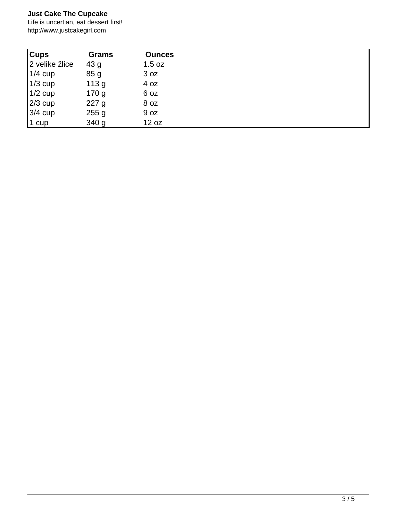#### **Just Cake The Cupcake**

Life is uncertian, eat dessert first! http://www.justcakegirl.com

| <b>Cups</b>    | Grams            | <b>Ounces</b> |
|----------------|------------------|---------------|
| 2 velike žlice | 43 g             | 1.5 oz        |
| $1/4$ cup      | 85g              | 3 oz          |
| $1/3$ cup      | 113g             | 4 oz          |
| $1/2$ cup      | 170 <sub>g</sub> | 6 oz          |
| $2/3$ cup      | 227g             | 8 oz          |
| $3/4$ cup      | 255g             | 9 oz          |
| $1$ cup        | 340 g            | 12 oz         |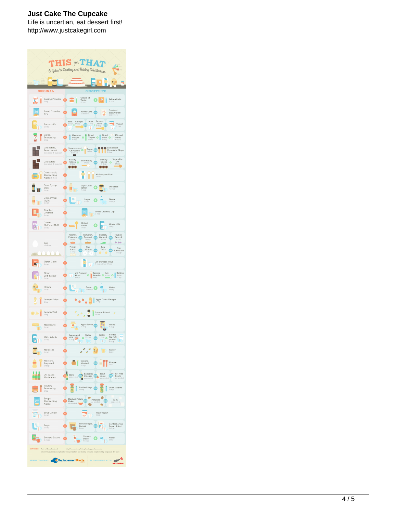#### **Just Cake The Cupcake**

Life is uncertian, eat dessert first! http://www.justcakegirl.com

|                                                                                                      |                                                                         | <b>THIS ton THA7</b>                                                                                                                                                                                                                                                                     |  |  |
|------------------------------------------------------------------------------------------------------|-------------------------------------------------------------------------|------------------------------------------------------------------------------------------------------------------------------------------------------------------------------------------------------------------------------------------------------------------------------------------|--|--|
|                                                                                                      |                                                                         | G Guide to Cooking and Baking Substitutions                                                                                                                                                                                                                                              |  |  |
|                                                                                                      |                                                                         | ă                                                                                                                                                                                                                                                                                        |  |  |
|                                                                                                      | ORIGINAL                                                                | <b>SUBSTITUTE</b>                                                                                                                                                                                                                                                                        |  |  |
| L                                                                                                    | <b>Baking Powder</b><br>1 tsp                                           | Cream of<br><b>Baking Soda</b><br>$\bullet$<br>Q<br>Tartar<br>/4 tsp<br>Vz tsp                                                                                                                                                                                                           |  |  |
|                                                                                                      | Bread Crumbs,<br>Dry                                                    | Crushed<br>Rolled Oats<br>lž<br>-9.<br>OR<br><b>Bran Cereal</b><br>as needed                                                                                                                                                                                                             |  |  |
|                                                                                                      | Buttermilk<br>1 cup                                                     | Vinegar<br>Milk<br>Lemon<br>Milk<br>up o <sup>1 thsp</sup><br>$\frac{1 \text{ cup}}{1}$<br>Juice<br>Yogurt<br>$\overline{\phantom{a}}$ OR<br>$\circ$<br>$\bullet$<br>1 thsp<br>1 cup                                                                                                     |  |  |
|                                                                                                      | Cajun<br>Seasoning<br>1 tsp                                             | Dried<br>Dried<br>Minced<br>Cayenne<br>Pepper<br>$\bullet$<br>Thyme $\bullet$<br>Basil<br>Vetsp<br>$\circ$<br>Garlic<br>1 clove<br>ı                                                                                                                                                     |  |  |
|                                                                                                      | Chocolate,<br>Semi-sweet<br>1 square (1 ounce)                          | Semisweet<br>Shocolate Chips<br>S thsp<br>Unsweetened Sugar<br>1 square<br>r                                                                                                                                                                                                             |  |  |
|                                                                                                      | Chocolate<br>square (1 ounce)                                           | Vegetable<br>Baking<br>Baking<br>Shortening<br>Cocoa O<br>Cocoa<br>Oil<br>OR<br>$\bullet$<br>1 thsp<br>$1$ thep<br>100<br>ю                                                                                                                                                              |  |  |
| ö                                                                                                    | Cornstarch,<br>Thickening<br>Agent 1 tbsp                               | All-Purpose Flour<br>tbsp                                                                                                                                                                                                                                                                |  |  |
|                                                                                                      | Corn Syrup,<br>Dark<br>1 cup                                            | Light Corn<br>Molasses<br>Syrup<br><b>We</b> cup<br>顺<br>up.                                                                                                                                                                                                                             |  |  |
|                                                                                                      | Corn Syrup,<br>Light<br>cup                                             | Water<br>$\begin{array}{c} \texttt{Sugar} \\ \texttt{1 cup} \end{array}$<br>f<br>% cup                                                                                                                                                                                                   |  |  |
|                                                                                                      | Cracker<br>Crumbs<br>1 cup                                              | Bread Crumbs, Dry<br>$\left  \cdot \right $<br>1 cup                                                                                                                                                                                                                                     |  |  |
|                                                                                                      | Cream<br>Half and Half<br>1 cup                                         | Melted<br>Whole Milk<br>Butter<br>g<br>1 cup<br>1 tbsp                                                                                                                                                                                                                                   |  |  |
|                                                                                                      | Egg<br>1 whole<br>x                                                     | Mashed<br>Pumpkin,<br>Squash,<br>Prunes,<br>$\Omega$<br>Pureed<br>OR<br>Canned<br>OR<br>Potatoes<br>Canned<br>1/4 cup<br>Ve cup<br>Ve cup<br>V4 cup<br>0.00<br>Potato<br>Egg<br>Egg<br>Egg<br>Substitute<br>Whites<br>Yolks<br>Starch<br>$\overline{\text{O}}$<br>OR<br>2 tbsp<br>Ve cup |  |  |
|                                                                                                      | Flour, Cake<br>1 cup                                                    | All-Purpose Flour<br>1 cup minus 2 tbsp                                                                                                                                                                                                                                                  |  |  |
|                                                                                                      | Flour,<br>Self-Rising<br>1 cup                                          | $\begin{tabular}{ c c c c } \hline \textbf{Baking} & \textbf{Salt} & \textbf{Baking} \\ \hline \textbf{Power} & $\psi$ top & \textbf{Soda} \\ 1\,\mathrm{typ} & $\psi$ top \\ \hline \end{tabular}$<br>All-Purpose<br>ŧ<br>Flour<br>cup                                                  |  |  |
| ă                                                                                                    | Honey<br>1 cup                                                          | L<br>Sugar<br>1 V <sub>a Cup</sub><br>Water<br>$\bullet$<br>Θ<br>$\mathbb{I}$<br>Πę<br>V <sub>o</sub> cup                                                                                                                                                                                |  |  |
|                                                                                                      | Lemon Juice<br>tsp                                                      | Apple Cider Vinegar<br>$\triangle$                                                                                                                                                                                                                                                       |  |  |
|                                                                                                      | Lemon Peel<br>1 tsp                                                     | Lemon Extract<br>tsp                                                                                                                                                                                                                                                                     |  |  |
|                                                                                                      | Margarine<br>1 cup                                                      | Apple Sauce OR<br>Prune<br>۰<br>ăp<br>cup                                                                                                                                                                                                                                                |  |  |
|                                                                                                      | Milk, Whole                                                             | Water<br>Water<br>Nonfat<br>Evaporated<br>dry milk<br>powder<br>% cup<br>Milk<br>$\bullet$<br>1/2 cup<br><b>OR</b><br>$1 \text{ cup}$<br>E,<br><b>DE</b><br><b>COL</b>                                                                                                                   |  |  |
|                                                                                                      | Molasses<br>1 cup                                                       | ó<br>Honey<br>E gB<br>1 cup                                                                                                                                                                                                                                                              |  |  |
|                                                                                                      | Mustard,<br>Prepared<br>1 tbsp                                          | Ground<br>Mustard<br>Vinegar<br>$\circledcirc$<br>2 tsp<br>V <sub>2</sub> tsp                                                                                                                                                                                                            |  |  |
|                                                                                                      | Oil Based<br>Marinades                                                  | OR Balsamic<br>Minegar<br>as needed<br>Fruit<br>Fat Free<br>OR<br>Wine<br>OR<br>Broth<br>Juice<br>as needed<br>as n                                                                                                                                                                      |  |  |
|                                                                                                      | Poultry<br>Seasoning<br>1 tsp                                           | Rubbed Sage<br>Dried Thyme<br>tsp<br>/a tsp                                                                                                                                                                                                                                              |  |  |
|                                                                                                      | Soups,<br>Thickening<br>Agent                                           | Mashed Potato<br>Potatoes<br>Tofu<br>Flakes<br>as needed<br>needed                                                                                                                                                                                                                       |  |  |
|                                                                                                      | Sour Cream<br>1 cup                                                     | Plain Yogurt<br>1 cup                                                                                                                                                                                                                                                                    |  |  |
|                                                                                                      | Sugar<br>1 cup                                                          | Brown Sugar,<br>Confectioners<br><b>OR</b><br>Packed<br>1 cup<br>Sugar, Sifted<br>2 cups                                                                                                                                                                                                 |  |  |
|                                                                                                      | Tomato Sauce<br>2 cups                                                  | Tomato<br>Water<br>Paste<br>% cup<br>:uŗ                                                                                                                                                                                                                                                 |  |  |
|                                                                                                      | <b>SOURCES:</b> Taste of Home Cooldbook<br>http://www.mayoclinic.org/be | http://www.peta.org/tiving/food/egg-replace<br>y-living/nutrition-and-healthy-eating/in-depth/healthy-recipes/art-20047195                                                                                                                                                               |  |  |
| 州<br>BROUGHT TO YOU BY<br><b><i><u></u></i></b> Replacement Parts<br>IN PARTNERSHIP WITH<br><b>K</b> |                                                                         |                                                                                                                                                                                                                                                                                          |  |  |